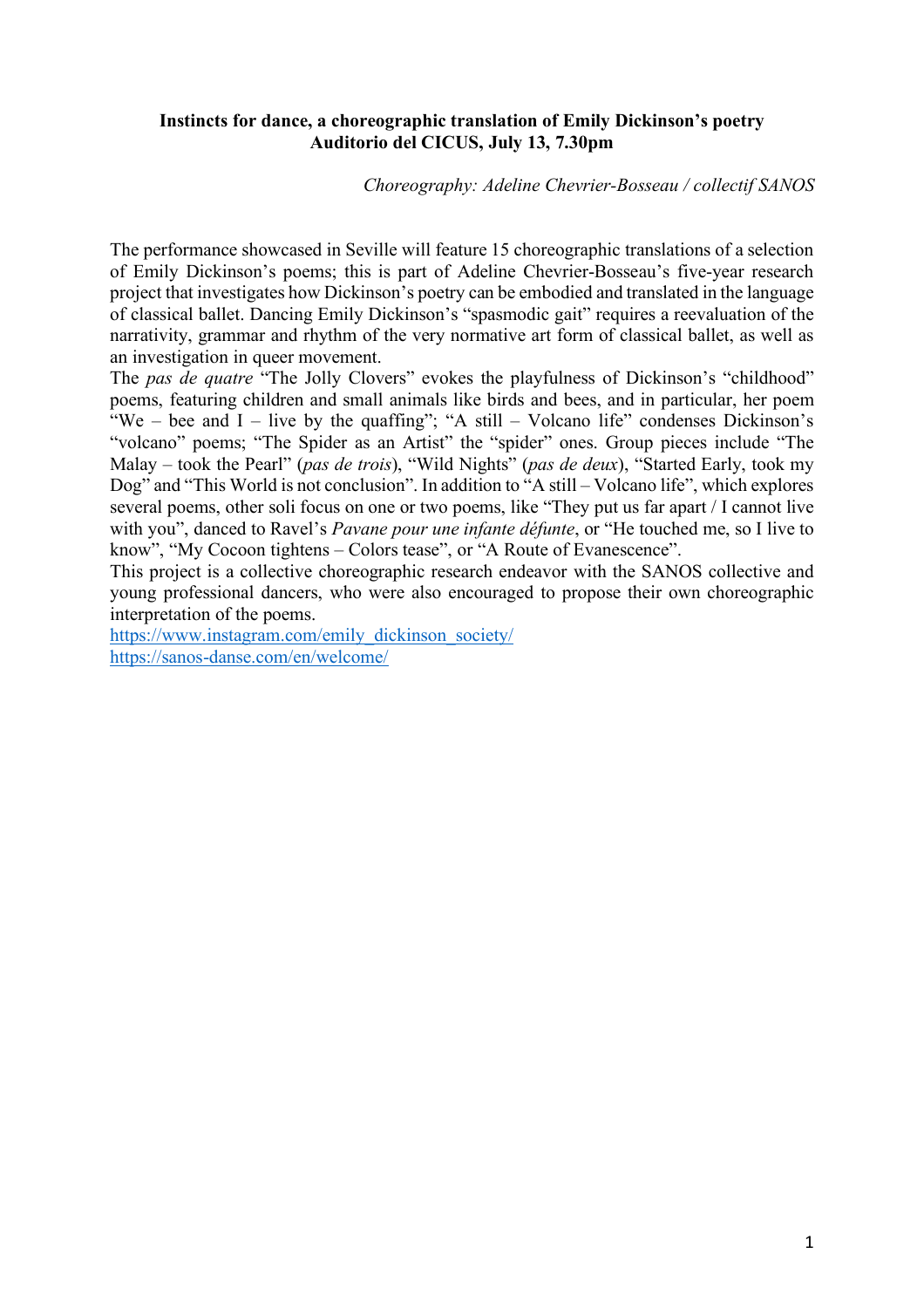## **Instincts for dance, a choreographic translation of Emily Dickinson's poetry Auditorio del CICUS, July 13, 7.30pm**

## *Choreography: Adeline Chevrier-Bosseau / collectif SANOS*

The performance showcased in Seville will feature 15 choreographic translations of a selection of Emily Dickinson's poems; this is part of Adeline Chevrier-Bosseau's five-year research project that investigates how Dickinson's poetry can be embodied and translated in the language of classical ballet. Dancing Emily Dickinson's "spasmodic gait" requires a reevaluation of the narrativity, grammar and rhythm of the very normative art form of classical ballet, as well as an investigation in queer movement.

The *pas de quatre* "The Jolly Clovers" evokes the playfulness of Dickinson's "childhood" poems, featuring children and small animals like birds and bees, and in particular, her poem "We – bee and  $I$  – live by the quaffing"; "A still – Volcano life" condenses Dickinson's "volcano" poems; "The Spider as an Artist" the "spider" ones. Group pieces include "The Malay – took the Pearl" (*pas de trois*), "Wild Nights" (*pas de deux*), "Started Early, took my Dog" and "This World is not conclusion". In addition to "A still – Volcano life", which explores several poems, other soli focus on one or two poems, like "They put us far apart / I cannot live with you", danced to Ravel's *Pavane pour une infante défunte*, or "He touched me, so I live to know", "My Cocoon tightens – Colors tease", or "A Route of Evanescence".

This project is a collective choreographic research endeavor with the SANOS collective and young professional dancers, who were also encouraged to propose their own choreographic interpretation of the poems.

https://www.instagram.com/emily\_dickinson\_society/ https://sanos-danse.com/en/welcome/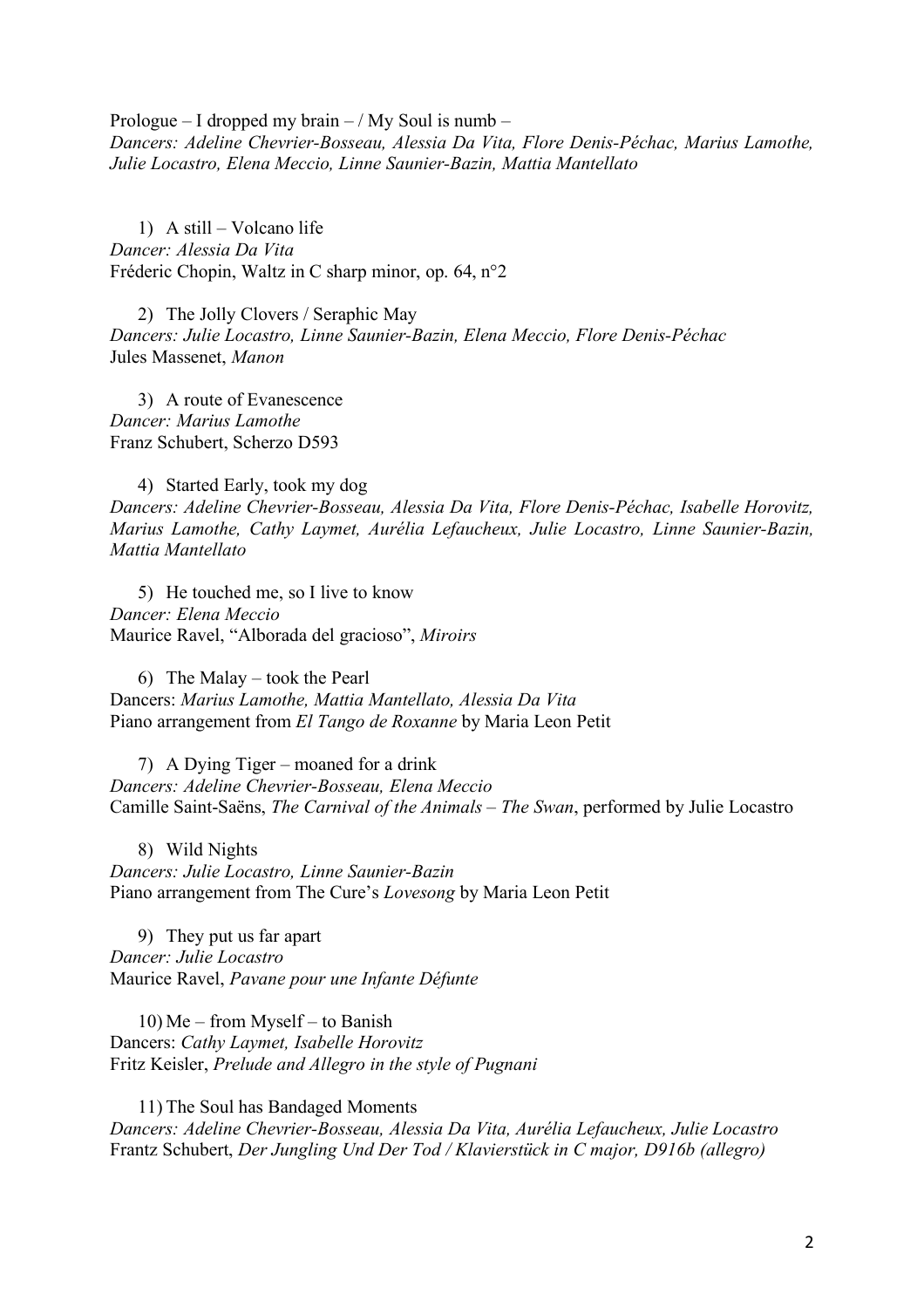Prologue – I dropped my brain – / My Soul is numb – *Dancers: Adeline Chevrier-Bosseau, Alessia Da Vita, Flore Denis-Péchac, Marius Lamothe, Julie Locastro, Elena Meccio, Linne Saunier-Bazin, Mattia Mantellato*

1) A still – Volcano life *Dancer: Alessia Da Vita* Fréderic Chopin, Waltz in C sharp minor, op. 64, n°2

2) The Jolly Clovers / Seraphic May *Dancers: Julie Locastro, Linne Saunier-Bazin, Elena Meccio, Flore Denis-Péchac* Jules Massenet, *Manon*

3) A route of Evanescence *Dancer: Marius Lamothe* Franz Schubert, Scherzo D593

4) Started Early, took my dog *Dancers: Adeline Chevrier-Bosseau, Alessia Da Vita, Flore Denis-Péchac, Isabelle Horovitz, Marius Lamothe, Cathy Laymet, Aurélia Lefaucheux, Julie Locastro, Linne Saunier-Bazin, Mattia Mantellato*

5) He touched me, so I live to know *Dancer: Elena Meccio* Maurice Ravel, "Alborada del gracioso", *Miroirs*

6) The Malay – took the Pearl Dancers: *Marius Lamothe, Mattia Mantellato, Alessia Da Vita* Piano arrangement from *El Tango de Roxanne* by Maria Leon Petit

7) A Dying Tiger – moaned for a drink *Dancers: Adeline Chevrier-Bosseau, Elena Meccio* Camille Saint-Saëns, *The Carnival of the Animals – The Swan*, performed by Julie Locastro

8) Wild Nights *Dancers: Julie Locastro, Linne Saunier-Bazin* Piano arrangement from The Cure's *Lovesong* by Maria Leon Petit

9) They put us far apart *Dancer: Julie Locastro* Maurice Ravel, *Pavane pour une Infante Défunte*

10) Me – from Myself – to Banish Dancers: *Cathy Laymet, Isabelle Horovitz* Fritz Keisler, *Prelude and Allegro in the style of Pugnani*

11) The Soul has Bandaged Moments *Dancers: Adeline Chevrier-Bosseau, Alessia Da Vita, Aurélia Lefaucheux, Julie Locastro* Frantz Schubert, *Der Jungling Und Der Tod / Klavierstück in C major, D916b (allegro)*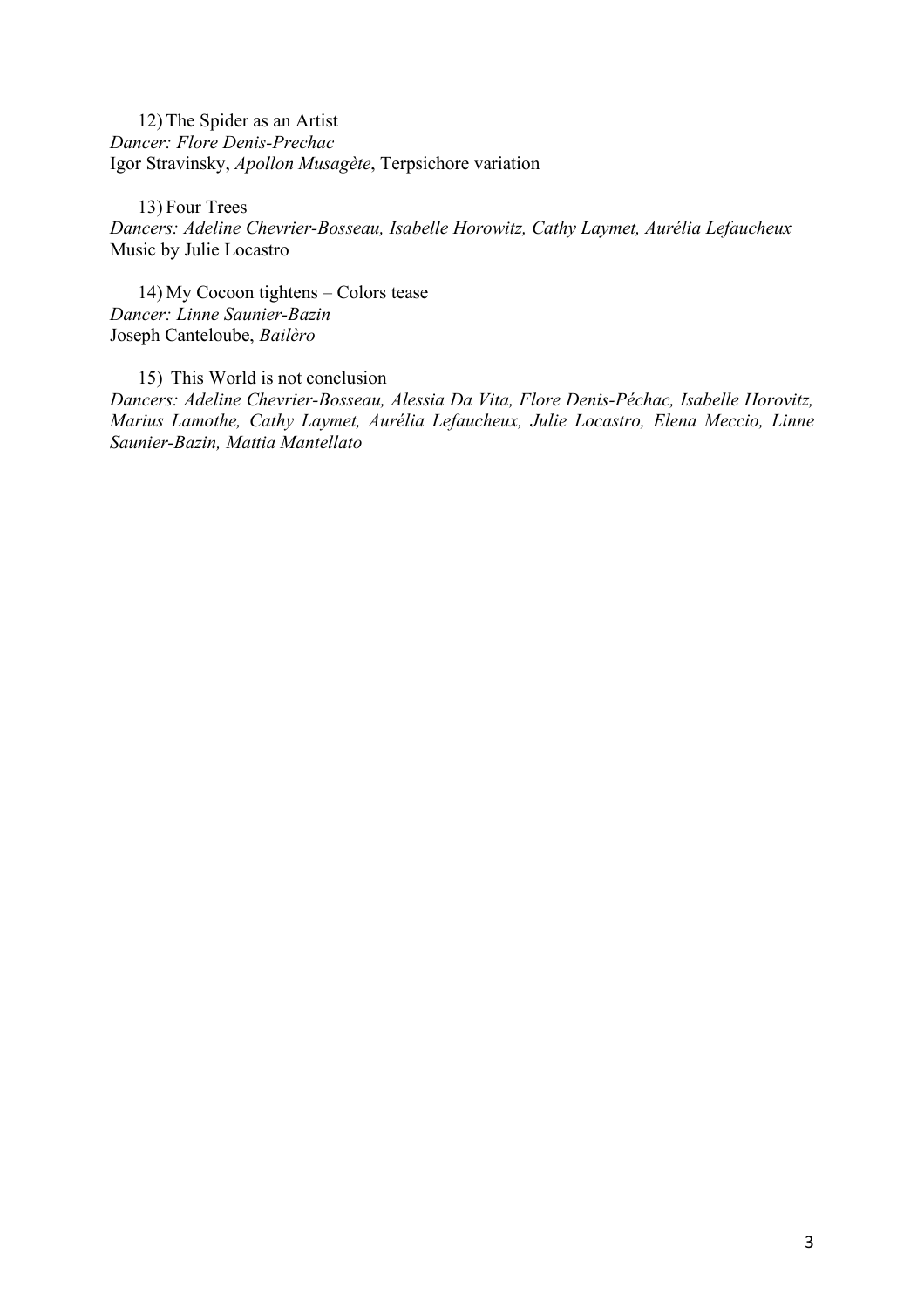12) The Spider as an Artist *Dancer: Flore Denis-Prechac* Igor Stravinsky, *Apollon Musagète*, Terpsichore variation

13) Four Trees *Dancers: Adeline Chevrier-Bosseau, Isabelle Horowitz, Cathy Laymet, Aurélia Lefaucheux* Music by Julie Locastro

14) My Cocoon tightens – Colors tease *Dancer: Linne Saunier-Bazin* Joseph Canteloube, *Bailèro*

15) This World is not conclusion *Dancers: Adeline Chevrier-Bosseau, Alessia Da Vita, Flore Denis-Péchac, Isabelle Horovitz, Marius Lamothe, Cathy Laymet, Aurélia Lefaucheux, Julie Locastro, Elena Meccio, Linne Saunier-Bazin, Mattia Mantellato*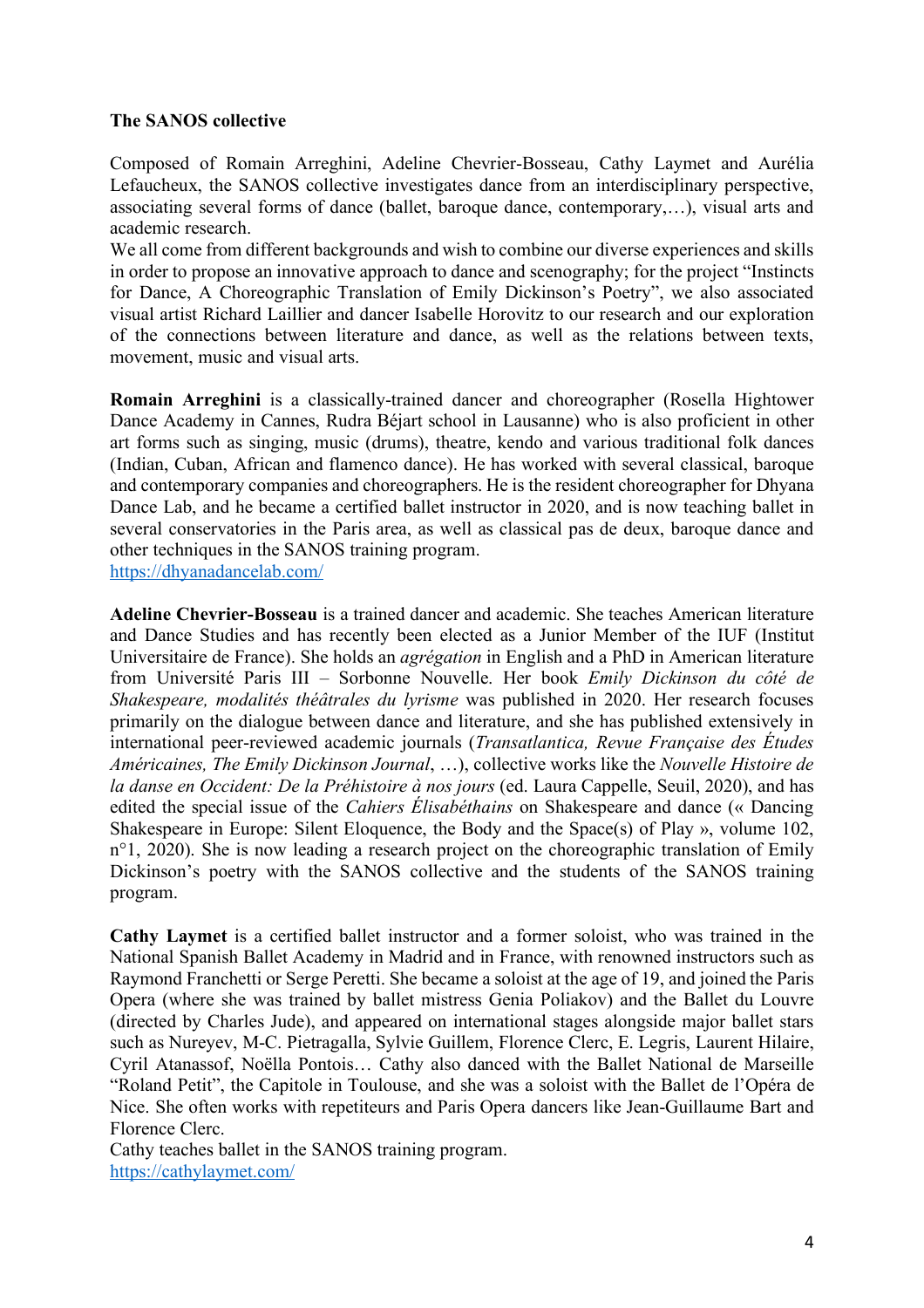## **The SANOS collective**

Composed of Romain Arreghini, Adeline Chevrier-Bosseau, Cathy Laymet and Aurélia Lefaucheux, the SANOS collective investigates dance from an interdisciplinary perspective, associating several forms of dance (ballet, baroque dance, contemporary,…), visual arts and academic research.

We all come from different backgrounds and wish to combine our diverse experiences and skills in order to propose an innovative approach to dance and scenography; for the project "Instincts for Dance, A Choreographic Translation of Emily Dickinson's Poetry", we also associated visual artist Richard Laillier and dancer Isabelle Horovitz to our research and our exploration of the connections between literature and dance, as well as the relations between texts, movement, music and visual arts.

**Romain Arreghini** is a classically-trained dancer and choreographer (Rosella Hightower Dance Academy in Cannes, Rudra Béjart school in Lausanne) who is also proficient in other art forms such as singing, music (drums), theatre, kendo and various traditional folk dances (Indian, Cuban, African and flamenco dance). He has worked with several classical, baroque and contemporary companies and choreographers. He is the resident choreographer for Dhyana Dance Lab, and he became a certified ballet instructor in 2020, and is now teaching ballet in several conservatories in the Paris area, as well as classical pas de deux, baroque dance and other techniques in the SANOS training program.

https://dhyanadancelab.com/

**Adeline Chevrier-Bosseau** is a trained dancer and academic. She teaches American literature and Dance Studies and has recently been elected as a Junior Member of the IUF (Institut Universitaire de France). She holds an *agrégation* in English and a PhD in American literature from Université Paris III – Sorbonne Nouvelle. Her book *Emily Dickinson du côté de Shakespeare, modalités théâtrales du lyrisme* was published in 2020. Her research focuses primarily on the dialogue between dance and literature, and she has published extensively in international peer-reviewed academic journals (*Transatlantica, Revue Française des Études Américaines, The Emily Dickinson Journal*, …), collective works like the *Nouvelle Histoire de la danse en Occident: De la Préhistoire à nos jours* (ed. Laura Cappelle, Seuil, 2020), and has edited the special issue of the *Cahiers Élisabéthains* on Shakespeare and dance (« Dancing Shakespeare in Europe: Silent Eloquence, the Body and the Space(s) of Play », volume 102, n<sup>o</sup>1, 2020). She is now leading a research project on the choreographic translation of Emily Dickinson's poetry with the SANOS collective and the students of the SANOS training program.

**Cathy Laymet** is a certified ballet instructor and a former soloist, who was trained in the National Spanish Ballet Academy in Madrid and in France, with renowned instructors such as Raymond Franchetti or Serge Peretti. She became a soloist at the age of 19, and joined the Paris Opera (where she was trained by ballet mistress Genia Poliakov) and the Ballet du Louvre (directed by Charles Jude), and appeared on international stages alongside major ballet stars such as Nureyev, M-C. Pietragalla, Sylvie Guillem, Florence Clerc, E. Legris, Laurent Hilaire, Cyril Atanassof, Noëlla Pontois… Cathy also danced with the Ballet National de Marseille "Roland Petit", the Capitole in Toulouse, and she was a soloist with the Ballet de l'Opéra de Nice. She often works with repetiteurs and Paris Opera dancers like Jean-Guillaume Bart and Florence Clerc.

Cathy teaches ballet in the SANOS training program. https://cathylaymet.com/